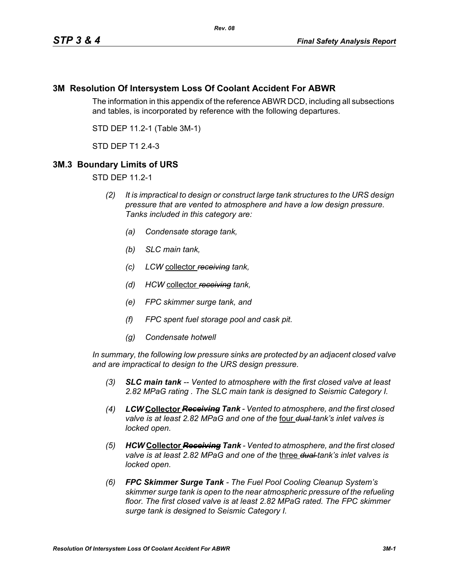## **3M Resolution Of Intersystem Loss Of Coolant Accident For ABWR**

The information in this appendix of the reference ABWR DCD, including all subsections and tables, is incorporated by reference with the following departures.

STD DEP 11.2-1 (Table 3M-1)

STD DEP T1 2.4-3

## **3M.3 Boundary Limits of URS**

STD DEP 11.2-1

- *(2) It is impractical to design or construct large tank structures to the URS design pressure that are vented to atmosphere and have a low design pressure. Tanks included in this category are:*
	- *(a) Condensate storage tank,*
	- *(b) SLC main tank,*
	- *(c) LCW* collector *receiving tank,*
	- *(d) HCW* collector *receiving tank,*
	- *(e) FPC skimmer surge tank, and*
	- *(f) FPC spent fuel storage pool and cask pit.*
	- *(g) Condensate hotwell*

*In summary, the following low pressure sinks are protected by an adjacent closed valve and are impractical to design to the URS design pressure.*

- *(3) SLC main tank -- Vented to atmosphere with the first closed valve at least 2.82 MPaG rating . The SLC main tank is designed to Seismic Category I.*
- *(4) LCW* **Collector** *Receiving Tank Vented to atmosphere, and the first closed valve is at least 2.82 MPaG and one of the* four *dual tank's inlet valves is locked open.*
- *(5) HCW* **Collector** *Receiving Tank Vented to atmosphere, and the first closed valve is at least 2.82 MPaG and one of the* three *dual tank's inlet valves is locked open.*
- *(6) FPC Skimmer Surge Tank The Fuel Pool Cooling Cleanup System's skimmer surge tank is open to the near atmospheric pressure of the refueling floor. The first closed valve is at least 2.82 MPaG rated. The FPC skimmer surge tank is designed to Seismic Category I.*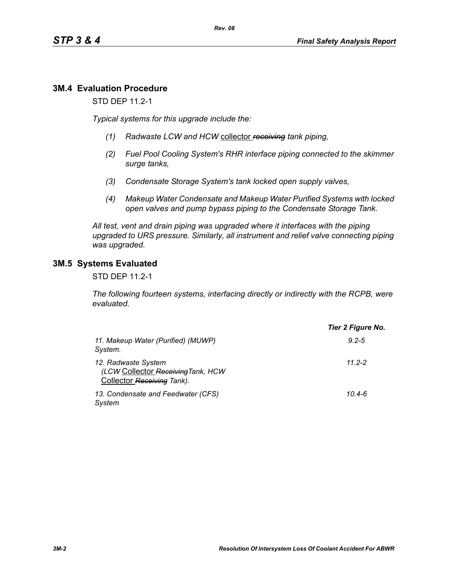# **3M.4 Evaluation Procedure**

STD DEP 11.2-1

*Typical systems for this upgrade include the:*

- *(1) Radwaste LCW and HCW* collector *receiving tank piping,*
- *(2) Fuel Pool Cooling System's RHR interface piping connected to the skimmer surge tanks,*
- *(3) Condensate Storage System's tank locked open supply valves,*
- *(4) Makeup Water Condensate and Makeup Water Purified Systems with locked open valves and pump bypass piping to the Condensate Storage Tank.*

*All test, vent and drain piping was upgraded where it interfaces with the piping upgraded to URS pressure. Similarly, all instrument and relief valve connecting piping was upgraded.*

## **3M.5 Systems Evaluated**

STD DEP 11.2-1

*The following fourteen systems, interfacing directly or indirectly with the RCPB, were evaluated.*

|                                                                                         | Tier 2 Figure No. |  |  |
|-----------------------------------------------------------------------------------------|-------------------|--|--|
| 11. Makeup Water (Purified) (MUWP)<br>System.                                           | $9.2 - 5$         |  |  |
| 12. Radwaste System<br>(LCW Collector Receiving Tank, HCW<br>Collector Receiving Tank). | $112 - 2$         |  |  |
| 13. Condensate and Feedwater (CFS)<br>System                                            | $10.4 - 6$        |  |  |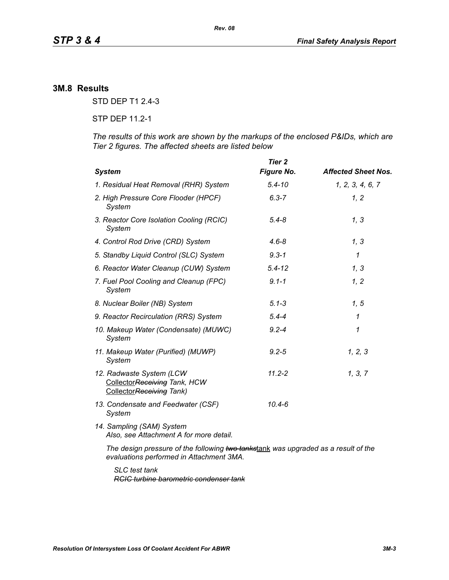## **3M.8 Results**

STD DEP T1 2.4-3

STP DEP 11.2-1

*The results of this work are shown by the markups of the enclosed P&IDs, which are Tier 2 figures. The affected sheets are listed below*

| <b>System</b>                                                                                                                  | Tier 2<br><b>Figure No.</b> | <b>Affected Sheet Nos.</b> |
|--------------------------------------------------------------------------------------------------------------------------------|-----------------------------|----------------------------|
| 1. Residual Heat Removal (RHR) System                                                                                          | $5.4 - 10$                  | 1, 2, 3, 4, 6, 7           |
| 2. High Pressure Core Flooder (HPCF)<br>System                                                                                 | $6.3 - 7$                   | 1, 2                       |
| 3. Reactor Core Isolation Cooling (RCIC)<br>System                                                                             | $5.4 - 8$                   | 1, 3                       |
| 4. Control Rod Drive (CRD) System                                                                                              | $4.6 - 8$                   | 1, 3                       |
| 5. Standby Liquid Control (SLC) System                                                                                         | $9.3 - 1$                   | $\mathcal I$               |
| 6. Reactor Water Cleanup (CUW) System                                                                                          | $5.4 - 12$                  | 1, 3                       |
| 7. Fuel Pool Cooling and Cleanup (FPC)<br>System                                                                               | $9.1 - 1$                   | 1, 2                       |
| 8. Nuclear Boiler (NB) System                                                                                                  | $5.1 - 3$                   | 1, 5                       |
| 9. Reactor Recirculation (RRS) System                                                                                          | $5.4 - 4$                   | $\mathcal I$               |
| 10. Makeup Water (Condensate) (MUWC)<br>System                                                                                 | $9.2 - 4$                   | 1                          |
| 11. Makeup Water (Purified) (MUWP)<br>System                                                                                   | $9.2 - 5$                   | 1, 2, 3                    |
| 12. Radwaste System (LCW<br>CollectorReceiving Tank, HCW<br>CollectorReceiving Tank)                                           | $11.2 - 2$                  | 1, 3, 7                    |
| 13. Condensate and Feedwater (CSF)<br>System                                                                                   | 10.4-6                      |                            |
| 14. Sampling (SAM) System<br>Also, see Attachment A for more detail.                                                           |                             |                            |
| The design pressure of the following two tankstank was upgraded as a result of the<br>evaluations performed in Attachment 3MA. |                             |                            |

*SLC test tank RCIC turbine barometric condenser tank*